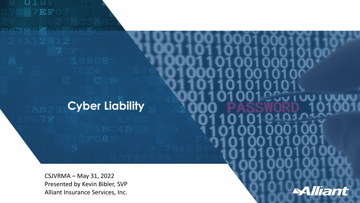# **Cyber Liability**

CSJVRMA – May 31, 2022 Presented by Kevin Bibler, SVP Alliant Insurance Services, Inc.

0181

SYEF0

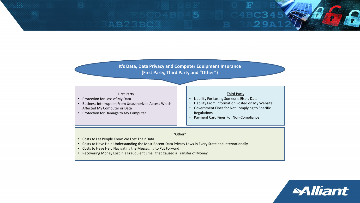### 5 AB23BC3 29

**It's Data, Data Privacy and Computer Equipment Insurance (First Party, Third Party and "Other")**

#### First Party

- Protection for Loss of My Data
- Business Interruption From Unauthorized Access Which Affected My Computer or Data
- Protection for Damage to My Computer

#### Third Party

- Liability For Losing Someone Else's Data
- Liability From Information Posted on My Website
- Government Fines for Not Complying to Specific Regulations

*Alliant* 

• Payment Card Fines For Non-Compliance

#### "Other"

- Costs to Let People Know We Lost Their Data
- Costs to Have Help Understanding the Most Recent Data Privacy Laws in Every State and Internationally
- Costs to Have Help Navigating the Messaging to Put Forward
- Recovering Money Lost in a Fraudulent Email that Caused a Transfer of Money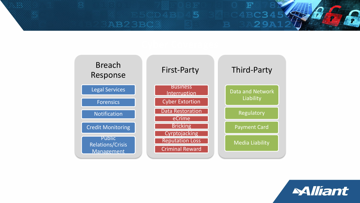



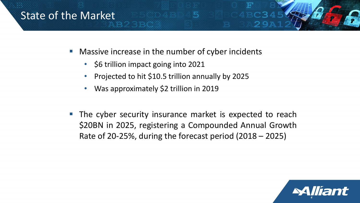## State of the Market

- **Nassive increase in the number of cyber incidents** 
	- \$6 trillion impact going into 2021
	- Projected to hit \$10.5 trillion annually by 2025
	- Was approximately \$2 trillion in 2019
- **The cyber security insurance market is expected to reach** \$20BN in 2025, registering a Compounded Annual Growth Rate of 20-25%, during the forecast period (2018 – 2025)

5

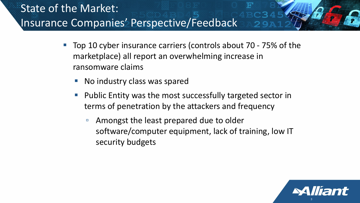# State of the Market: Insurance Companies' Perspective/Feedback

- Top 10 cyber insurance carriers (controls about 70 75% of the marketplace) all report an overwhelming increase in ransomware claims
	- No industry class was spared
	- **Public Entity was the most successfully targeted sector in** terms of penetration by the attackers and frequency
		- Amongst the least prepared due to older software/computer equipment, lack of training, low IT security budgets

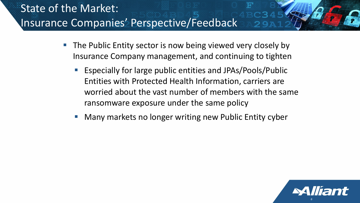# State of the Market: Insurance Companies' Perspective/Feedback

- **The Public Entity sector is now being viewed very closely by** Insurance Company management, and continuing to tighten
	- Especially for large public entities and JPAs/Pools/Public Entities with Protected Health Information, carriers are worried about the vast number of members with the same ransomware exposure under the same policy
	- Many markets no longer writing new Public Entity cyber

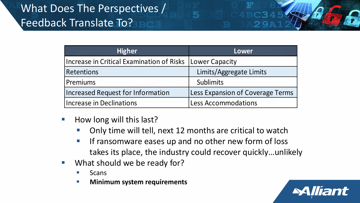# What Does The Perspectives / Feedback Translate To?

| <b>Higher</b>                             | Lower                            |
|-------------------------------------------|----------------------------------|
| Increase in Critical Examination of Risks | Lower Capacity                   |
| Retentions                                | Limits/Aggregate Limits          |
| Premiums                                  | <b>Sublimits</b>                 |
| <b>Increased Request for Information</b>  | Less Expansion of Coverage Terms |
| <b>Increase in Declinations</b>           | <b>Less Accommodations</b>       |

5

Ŧ

- $\blacksquare$  How long will this last?
	- **Only time will tell, next 12 months are critical to watch**
	- **If ransomware eases up and no other new form of loss** takes its place, the industry could recover quickly…unlikely
- What should we be ready for?
	- Scans
	- **Minimum system requirements**

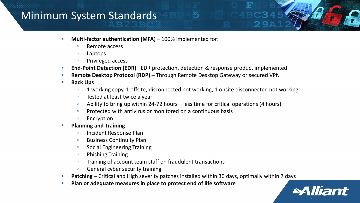## Minimum System Standards

- **Multi-factor authentication (MFA**) 100% implemented for:
	- □ Remote access
	- Laptops
	- Privileged access
- **End-Point Detection (EDR)** –EDR protection, detection & response product implemented
- **Remote Desktop Protocol (RDP) –** Through Remote Desktop Gateway or secured VPN
- **Back Ups**
	- □ 1 working copy, 1 offsite, disconnected not working, 1 onsite disconnected not working

5

- Tested at least twice a year
- □ Ability to bring up within 24-72 hours less time for critical operations (4 hours)
- Protected with antivirus or monitored on a continuous basis
- □ Encryption
- **Planning and Training**
	- Incident Response Plan
	- Business Continuity Plan
	- □ Social Engineering Training
	- Phishing Training
	- Training of account team staff on fraudulent transactions
	- □ General cyber security training
- **Patching –** Critical and High severity patches installed within 30 days, optimally within 7 days

*8*

**Alliant** 

**Plan or adequate measures in place to protect end of life software**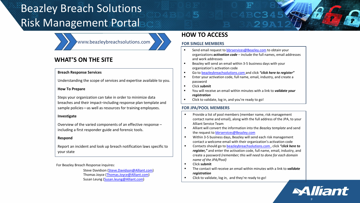# Beazley Breach Solutions Risk Management Portal



### **WHAT'S ON THE SITE**

#### **Breach Response Services**

Understanding the scope of services and expertise available to you.

#### **How To Prepare**

Steps your organization can take in order to minimize data breaches and their impact–including response plan template and sample policies—as well as resources for training employees.

### **Investigate**

Overview of the varied components of an effective response – including a first responder guide and forensic tools.

### **Respond**

Report an incident and look up breach notification laws specific to your state

For Beazley Breach Response inquires:

Steve Davidson ([Steve.Davidson@Alliant.com\)](mailto:Steve.Davidson@Alliant.com) Thomas Joyce ([Thomas.Joyce@Alliant.com\)](mailto:Thomas.Joyce@Alliant.com) Susan Leung ([Susan.leung@Alliant.com\)](mailto:Susan.leung@Alliant.com)

### **HOW TO ACCESS**

### **FOR SINGLE MEMBERS**

- Send email request to [bbrservices@Beazley.com](mailto:bbrservices@Beazley.com) to obtain your organizations *activation code* – include the full names, email addresses and work addresses
- Beazley will send an email within 3-5 business days with your organization's activation code
- Go to beazleybreachsolutions.com and click *"click here to register"*
- **Enter your activation code, full name, email, industry, and create a** password
- Click **submit**
- You will receive an email within minutes with a link to *validate your registration*
- Click to validate, log in, and you're ready to go!

### **FOR JPA/POOL MEMBERS**

- **Provide a list of pool members (member name, risk management** contact name and email), along with the full address of the JPA, to your Alliant Service Team
- Alliant will convert the information into the *Beazley template* and send the request to [bbrservices@Beazley.com](mailto:bbrservices@Beazley.com)
- Within 3-5 business days, Beazley will send each risk management contact a welcome email with their organization's activation code
- Contacts should go to [beazleybreachsolutions.com ,](http://www.beazleybreachsolutions.com/) click *"click here to register,"* and enter the activation code, full name, email, industry, and create a password *(remember; this will need to done for each domain name of the JPA/Pool)*
- Click **submit**
- The contact will receive an email within minutes with a link to *validate registration*
- Click to validate, log in, and they're ready to go!